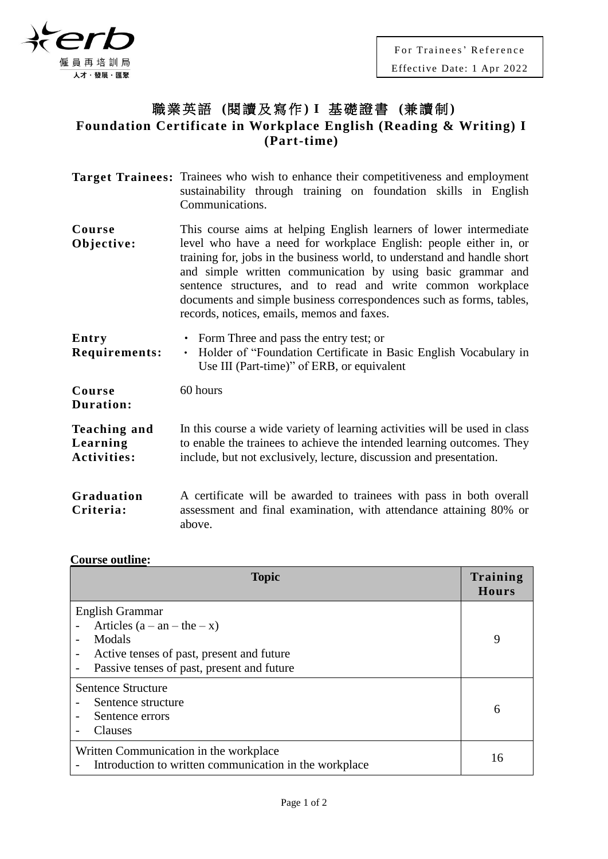

## 職業英語 **(**閱讀及寫作**) I** 基礎證書 **(**兼讀制**) Foundation Certificate in Workplace English (Reading & Writing) I (Part-time)**

|                                                | <b>Target Trainees:</b> Trainees who wish to enhance their competitiveness and employment<br>sustainability through training on foundation skills in English<br>Communications.                                                                                                                                                                                                                                                                                         |
|------------------------------------------------|-------------------------------------------------------------------------------------------------------------------------------------------------------------------------------------------------------------------------------------------------------------------------------------------------------------------------------------------------------------------------------------------------------------------------------------------------------------------------|
| Course<br>Objective:                           | This course aims at helping English learners of lower intermediate<br>level who have a need for workplace English: people either in, or<br>training for, jobs in the business world, to understand and handle short<br>and simple written communication by using basic grammar and<br>sentence structures, and to read and write common workplace<br>documents and simple business correspondences such as forms, tables,<br>records, notices, emails, memos and faxes. |
| Entry<br>Requirements:                         | • Form Three and pass the entry test; or<br>Holder of "Foundation Certificate in Basic English Vocabulary in<br>$\bullet$<br>Use III (Part-time)" of ERB, or equivalent                                                                                                                                                                                                                                                                                                 |
| Course<br>Duration:                            | 60 hours                                                                                                                                                                                                                                                                                                                                                                                                                                                                |
| <b>Teaching and</b><br>Learning<br>Activities: | In this course a wide variety of learning activities will be used in class<br>to enable the trainees to achieve the intended learning outcomes. They<br>include, but not exclusively, lecture, discussion and presentation.                                                                                                                                                                                                                                             |

**Graduation Criteria:** A certificate will be awarded to trainees with pass in both overall assessment and final examination, with attendance attaining 80% or above.

## **Course outline:**

| <b>Topic</b>                                                                                                                                          | Training<br>Hours |
|-------------------------------------------------------------------------------------------------------------------------------------------------------|-------------------|
| English Grammar<br>Articles $(a - an - the - x)$<br>Modals<br>Active tenses of past, present and future<br>Passive tenses of past, present and future | 9                 |
| Sentence Structure<br>Sentence structure<br>Sentence errors<br>Clauses                                                                                | 6                 |
| Written Communication in the workplace<br>Introduction to written communication in the workplace                                                      | 16                |